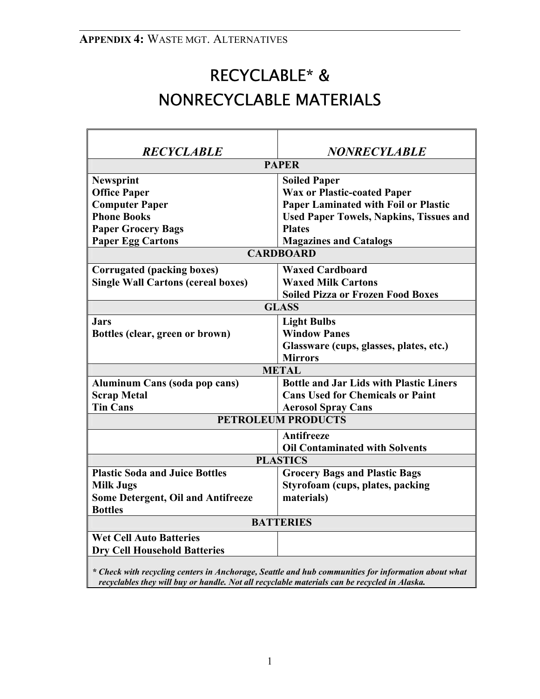## RECYCLABLE\* & NONRECYCLABLE MATERIALS

| <b>RECYCLABLE</b>                                                                                   | <b>NONRECYLABLE</b>                                       |  |  |  |
|-----------------------------------------------------------------------------------------------------|-----------------------------------------------------------|--|--|--|
|                                                                                                     | <b>PAPER</b>                                              |  |  |  |
|                                                                                                     |                                                           |  |  |  |
| <b>Newsprint</b><br><b>Office Paper</b>                                                             | <b>Soiled Paper</b><br><b>Wax or Plastic-coated Paper</b> |  |  |  |
| <b>Computer Paper</b>                                                                               | <b>Paper Laminated with Foil or Plastic</b>               |  |  |  |
| <b>Phone Books</b>                                                                                  | <b>Used Paper Towels, Napkins, Tissues and</b>            |  |  |  |
| <b>Paper Grocery Bags</b>                                                                           | <b>Plates</b>                                             |  |  |  |
| <b>Paper Egg Cartons</b>                                                                            | <b>Magazines and Catalogs</b>                             |  |  |  |
|                                                                                                     | <b>CARDBOARD</b>                                          |  |  |  |
|                                                                                                     |                                                           |  |  |  |
| <b>Corrugated (packing boxes)</b>                                                                   | <b>Waxed Cardboard</b>                                    |  |  |  |
| <b>Single Wall Cartons (cereal boxes)</b>                                                           | <b>Waxed Milk Cartons</b>                                 |  |  |  |
|                                                                                                     | <b>Soiled Pizza or Frozen Food Boxes</b>                  |  |  |  |
|                                                                                                     | <b>GLASS</b>                                              |  |  |  |
| <b>Jars</b>                                                                                         | <b>Light Bulbs</b>                                        |  |  |  |
| Bottles (clear, green or brown)                                                                     | <b>Window Panes</b>                                       |  |  |  |
|                                                                                                     | Glassware (cups, glasses, plates, etc.)                   |  |  |  |
|                                                                                                     | <b>Mirrors</b>                                            |  |  |  |
|                                                                                                     | <b>METAL</b>                                              |  |  |  |
| <b>Aluminum Cans (soda pop cans)</b>                                                                | <b>Bottle and Jar Lids with Plastic Liners</b>            |  |  |  |
| <b>Scrap Metal</b>                                                                                  | <b>Cans Used for Chemicals or Paint</b>                   |  |  |  |
| <b>Tin Cans</b>                                                                                     | <b>Aerosol Spray Cans</b>                                 |  |  |  |
|                                                                                                     | <b>PETROLEUM PRODUCTS</b>                                 |  |  |  |
|                                                                                                     | <b>Antifreeze</b>                                         |  |  |  |
|                                                                                                     | <b>Oil Contaminated with Solvents</b>                     |  |  |  |
| <b>PLASTICS</b>                                                                                     |                                                           |  |  |  |
| <b>Plastic Soda and Juice Bottles</b>                                                               | <b>Grocery Bags and Plastic Bags</b>                      |  |  |  |
| <b>Milk Jugs</b>                                                                                    | Styrofoam (cups, plates, packing                          |  |  |  |
| <b>Some Detergent, Oil and Antifreeze</b>                                                           | materials)                                                |  |  |  |
| <b>Bottles</b>                                                                                      |                                                           |  |  |  |
| <b>BATTERIES</b>                                                                                    |                                                           |  |  |  |
| <b>Wet Cell Auto Batteries</b>                                                                      |                                                           |  |  |  |
| <b>Dry Cell Household Batteries</b>                                                                 |                                                           |  |  |  |
| * Check with recycling centers in Anchorage, Seattle and hub communities for information about what |                                                           |  |  |  |

 *recyclables they will buy or handle. Not all recyclable materials can be recycled in Alaska.*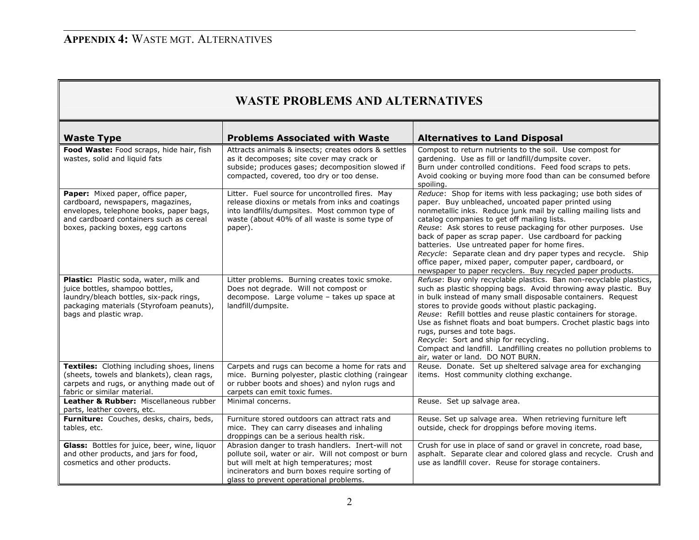| <b>WASTE PROBLEMS AND ALTERNATIVES</b>                                                                                                                                                            |                                                                                                                                                                                                                                                   |                                                                                                                                                                                                                                                                                                                                                                                                                                                                                                                                                                                                                |  |  |  |
|---------------------------------------------------------------------------------------------------------------------------------------------------------------------------------------------------|---------------------------------------------------------------------------------------------------------------------------------------------------------------------------------------------------------------------------------------------------|----------------------------------------------------------------------------------------------------------------------------------------------------------------------------------------------------------------------------------------------------------------------------------------------------------------------------------------------------------------------------------------------------------------------------------------------------------------------------------------------------------------------------------------------------------------------------------------------------------------|--|--|--|
| <b>Waste Type</b>                                                                                                                                                                                 | <b>Problems Associated with Waste</b>                                                                                                                                                                                                             | <b>Alternatives to Land Disposal</b>                                                                                                                                                                                                                                                                                                                                                                                                                                                                                                                                                                           |  |  |  |
| Food Waste: Food scraps, hide hair, fish<br>wastes, solid and liquid fats                                                                                                                         | Attracts animals & insects; creates odors & settles<br>as it decomposes; site cover may crack or<br>subside; produces gases; decomposition slowed if<br>compacted, covered, too dry or too dense.                                                 | Compost to return nutrients to the soil. Use compost for<br>gardening. Use as fill or landfill/dumpsite cover.<br>Burn under controlled conditions. Feed food scraps to pets.<br>Avoid cooking or buying more food than can be consumed before<br>spoiling.                                                                                                                                                                                                                                                                                                                                                    |  |  |  |
| Paper: Mixed paper, office paper,<br>cardboard, newspapers, magazines,<br>envelopes, telephone books, paper bags,<br>and cardboard containers such as cereal<br>boxes, packing boxes, egg cartons | Litter. Fuel source for uncontrolled fires. May<br>release dioxins or metals from inks and coatings<br>into landfills/dumpsites. Most common type of<br>waste (about 40% of all waste is some type of<br>paper).                                  | Reduce: Shop for items with less packaging; use both sides of<br>paper. Buy unbleached, uncoated paper printed using<br>nonmetallic inks. Reduce junk mail by calling mailing lists and<br>catalog companies to get off mailing lists.<br>Reuse: Ask stores to reuse packaging for other purposes. Use<br>back of paper as scrap paper. Use cardboard for packing<br>batteries. Use untreated paper for home fires.<br>Recycle: Separate clean and dry paper types and recycle. Ship<br>office paper, mixed paper, computer paper, cardboard, or<br>newspaper to paper recyclers. Buy recycled paper products. |  |  |  |
| Plastic: Plastic soda, water, milk and<br>juice bottles, shampoo bottles,<br>laundry/bleach bottles, six-pack rings,<br>packaging materials (Styrofoam peanuts),<br>bags and plastic wrap.        | Litter problems. Burning creates toxic smoke.<br>Does not degrade. Will not compost or<br>decompose. Large volume - takes up space at<br>landfill/dumpsite.                                                                                       | Refuse: Buy only recyclable plastics. Ban non-recyclable plastics,<br>such as plastic shopping bags. Avoid throwing away plastic. Buy<br>in bulk instead of many small disposable containers. Request<br>stores to provide goods without plastic packaging.<br>Reuse: Refill bottles and reuse plastic containers for storage.<br>Use as fishnet floats and boat bumpers. Crochet plastic bags into<br>rugs, purses and tote bags.<br>Recycle: Sort and ship for recycling.<br>Compact and landfill. Landfilling creates no pollution problems to<br>air, water or land. DO NOT BURN.                          |  |  |  |
| Textiles: Clothing including shoes, linens<br>(sheets, towels and blankets), clean rags,<br>carpets and rugs, or anything made out of<br>fabric or similar material.                              | Carpets and rugs can become a home for rats and<br>mice. Burning polyester, plastic clothing (raingear<br>or rubber boots and shoes) and nylon rugs and<br>carpets can emit toxic fumes.                                                          | Reuse. Donate. Set up sheltered salvage area for exchanging<br>items. Host community clothing exchange.                                                                                                                                                                                                                                                                                                                                                                                                                                                                                                        |  |  |  |
| Leather & Rubber: Miscellaneous rubber<br>parts, leather covers, etc.                                                                                                                             | Minimal concerns.                                                                                                                                                                                                                                 | Reuse. Set up salvage area.                                                                                                                                                                                                                                                                                                                                                                                                                                                                                                                                                                                    |  |  |  |
| Furniture: Couches, desks, chairs, beds,<br>tables, etc.                                                                                                                                          | Furniture stored outdoors can attract rats and<br>mice. They can carry diseases and inhaling<br>droppings can be a serious health risk.                                                                                                           | Reuse. Set up salvage area. When retrieving furniture left<br>outside, check for droppings before moving items.                                                                                                                                                                                                                                                                                                                                                                                                                                                                                                |  |  |  |
| Glass: Bottles for juice, beer, wine, liquor<br>and other products, and jars for food,<br>cosmetics and other products.                                                                           | Abrasion danger to trash handlers. Inert-will not<br>pollute soil, water or air. Will not compost or burn<br>but will melt at high temperatures; most<br>incinerators and burn boxes require sorting of<br>glass to prevent operational problems. | Crush for use in place of sand or gravel in concrete, road base,<br>asphalt. Separate clear and colored glass and recycle. Crush and<br>use as landfill cover. Reuse for storage containers.                                                                                                                                                                                                                                                                                                                                                                                                                   |  |  |  |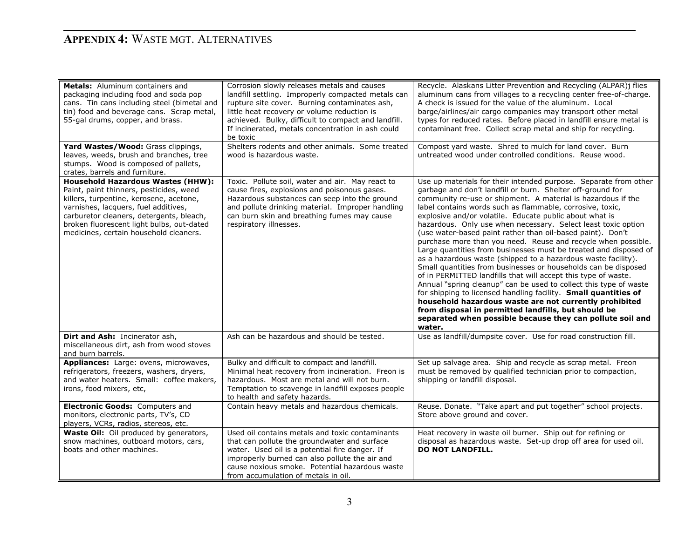## **APPENDIX 4:** WASTE MGT. ALTERNATIVES

| Metals: Aluminum containers and<br>packaging including food and soda pop<br>cans. Tin cans including steel (bimetal and<br>tin) food and beverage cans. Scrap metal,<br>55-gal drums, copper, and brass.                                                                                                  | Corrosion slowly releases metals and causes<br>landfill settling. Improperly compacted metals can<br>rupture site cover. Burning contaminates ash,<br>little heat recovery or volume reduction is<br>achieved. Bulky, difficult to compact and landfill.<br>If incinerated, metals concentration in ash could<br>be toxic | Recycle. Alaskans Litter Prevention and Recycling (ALPAR)j flies<br>aluminum cans from villages to a recycling center free-of-charge.<br>A check is issued for the value of the aluminum. Local<br>barge/airlines/air cargo companies may transport other metal<br>types for reduced rates. Before placed in landfill ensure metal is<br>contaminant free. Collect scrap metal and ship for recycling.                                                                                                                                                                                                                                                                                                                                                                                                                                                                                                                                                                                                                                                                                                                          |  |
|-----------------------------------------------------------------------------------------------------------------------------------------------------------------------------------------------------------------------------------------------------------------------------------------------------------|---------------------------------------------------------------------------------------------------------------------------------------------------------------------------------------------------------------------------------------------------------------------------------------------------------------------------|---------------------------------------------------------------------------------------------------------------------------------------------------------------------------------------------------------------------------------------------------------------------------------------------------------------------------------------------------------------------------------------------------------------------------------------------------------------------------------------------------------------------------------------------------------------------------------------------------------------------------------------------------------------------------------------------------------------------------------------------------------------------------------------------------------------------------------------------------------------------------------------------------------------------------------------------------------------------------------------------------------------------------------------------------------------------------------------------------------------------------------|--|
| Yard Wastes/Wood: Grass clippings,<br>leaves, weeds, brush and branches, tree<br>stumps. Wood is composed of pallets,<br>crates, barrels and furniture.                                                                                                                                                   | Shelters rodents and other animals. Some treated<br>wood is hazardous waste.                                                                                                                                                                                                                                              | Compost yard waste. Shred to mulch for land cover. Burn<br>untreated wood under controlled conditions. Reuse wood,                                                                                                                                                                                                                                                                                                                                                                                                                                                                                                                                                                                                                                                                                                                                                                                                                                                                                                                                                                                                              |  |
| <b>Household Hazardous Wastes (HHW):</b><br>Paint, paint thinners, pesticides, weed<br>killers, turpentine, kerosene, acetone,<br>varnishes, lacquers, fuel additives,<br>carburetor cleaners, detergents, bleach,<br>broken fluorescent light bulbs, out-dated<br>medicines, certain household cleaners. | Toxic. Pollute soil, water and air. May react to<br>cause fires, explosions and poisonous gases.<br>Hazardous substances can seep into the ground<br>and pollute drinking material. Improper handling<br>can burn skin and breathing fumes may cause<br>respiratory illnesses.                                            | Use up materials for their intended purpose. Separate from other<br>garbage and don't landfill or burn. Shelter off-ground for<br>community re-use or shipment. A material is hazardous if the<br>label contains words such as flammable, corrosive, toxic,<br>explosive and/or volatile. Educate public about what is<br>hazardous. Only use when necessary. Select least toxic option<br>(use water-based paint rather than oil-based paint). Don't<br>purchase more than you need. Reuse and recycle when possible.<br>Large quantities from businesses must be treated and disposed of<br>as a hazardous waste (shipped to a hazardous waste facility).<br>Small quantities from businesses or households can be disposed<br>of in PERMITTED landfills that will accept this type of waste.<br>Annual "spring cleanup" can be used to collect this type of waste<br>for shipping to licensed handling facility. Small quantities of<br>household hazardous waste are not currently prohibited<br>from disposal in permitted landfills, but should be<br>separated when possible because they can pollute soil and<br>water. |  |
| Dirt and Ash: Incinerator ash,<br>miscellaneous dirt, ash from wood stoves<br>and burn barrels.                                                                                                                                                                                                           | Ash can be hazardous and should be tested.                                                                                                                                                                                                                                                                                | Use as landfill/dumpsite cover. Use for road construction fill.                                                                                                                                                                                                                                                                                                                                                                                                                                                                                                                                                                                                                                                                                                                                                                                                                                                                                                                                                                                                                                                                 |  |
| Appliances: Large: ovens, microwaves,<br>refrigerators, freezers, washers, dryers,<br>and water heaters. Small: coffee makers,<br>irons, food mixers, etc,                                                                                                                                                | Bulky and difficult to compact and landfill.<br>Minimal heat recovery from incineration. Freon is<br>hazardous. Most are metal and will not burn.<br>Temptation to scavenge in landfill exposes people<br>to health and safety hazards.                                                                                   | Set up salvage area. Ship and recycle as scrap metal. Freon<br>must be removed by qualified technician prior to compaction,<br>shipping or landfill disposal.                                                                                                                                                                                                                                                                                                                                                                                                                                                                                                                                                                                                                                                                                                                                                                                                                                                                                                                                                                   |  |
| Electronic Goods: Computers and<br>monitors, electronic parts, TV's, CD<br>players, VCRs, radios, stereos, etc.                                                                                                                                                                                           | Contain heavy metals and hazardous chemicals.                                                                                                                                                                                                                                                                             | Reuse. Donate. "Take apart and put together" school projects.<br>Store above ground and cover.                                                                                                                                                                                                                                                                                                                                                                                                                                                                                                                                                                                                                                                                                                                                                                                                                                                                                                                                                                                                                                  |  |
| Waste Oil: Oil produced by generators,<br>snow machines, outboard motors, cars,<br>boats and other machines.                                                                                                                                                                                              | Used oil contains metals and toxic contaminants<br>that can pollute the groundwater and surface<br>water. Used oil is a potential fire danger. If<br>improperly burned can also pollute the air and<br>cause noxious smoke. Potential hazardous waste<br>from accumulation of metals in oil.                              | Heat recovery in waste oil burner. Ship out for refining or<br>disposal as hazardous waste. Set-up drop off area for used oil.<br><b>DO NOT LANDFILL.</b>                                                                                                                                                                                                                                                                                                                                                                                                                                                                                                                                                                                                                                                                                                                                                                                                                                                                                                                                                                       |  |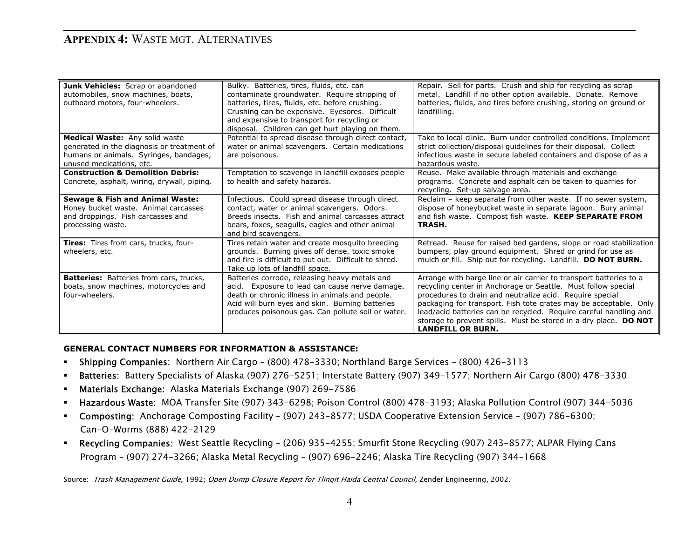## **APPENDIX 4:** WASTE MGT. ALTERNATIVES

| Junk Vehicles: Scrap or abandoned<br>automobiles, snow machines, boats,<br>outboard motors, four-wheelers.                                         | Bulky. Batteries, tires, fluids, etc. can<br>contaminate groundwater. Require stripping of<br>batteries, tires, fluids, etc. before crushing.<br>Crushing can be expensive. Eyesores. Difficult<br>and expensive to transport for recycling or<br>disposal. Children can get hurt playing on them. | Repair. Sell for parts. Crush and ship for recycling as scrap<br>metal. Landfill if no other option available. Donate. Remove<br>batteries, fluids, and tires before crushing, storing on ground or<br>landfilling.                                                                                                                                                                                                                       |  |
|----------------------------------------------------------------------------------------------------------------------------------------------------|----------------------------------------------------------------------------------------------------------------------------------------------------------------------------------------------------------------------------------------------------------------------------------------------------|-------------------------------------------------------------------------------------------------------------------------------------------------------------------------------------------------------------------------------------------------------------------------------------------------------------------------------------------------------------------------------------------------------------------------------------------|--|
| Medical Waste: Any solid waste<br>generated in the diagnosis or treatment of<br>humans or animals. Syringes, bandages,<br>unused medications, etc. | Potential to spread disease through direct contact,<br>water or animal scavengers. Certain medications<br>are poisonous.                                                                                                                                                                           | Take to local clinic. Burn under controlled conditions. Implement<br>strict collection/disposal quidelines for their disposal. Collect<br>infectious waste in secure labeled containers and dispose of as a<br>hazardous waste.                                                                                                                                                                                                           |  |
| <b>Construction &amp; Demolition Debris:</b><br>Concrete, asphalt, wiring, drywall, piping.                                                        | Temptation to scavenge in landfill exposes people<br>to health and safety hazards.                                                                                                                                                                                                                 | Reuse. Make available through materials and exchange<br>programs. Concrete and asphalt can be taken to quarries for<br>recycling. Set-up salvage area.                                                                                                                                                                                                                                                                                    |  |
| <b>Sewage &amp; Fish and Animal Waste:</b><br>Honey bucket waste. Animal carcasses<br>and droppings. Fish carcasses and<br>processing waste.       | Infectious. Could spread disease through direct<br>contact, water or animal scavengers. Odors.<br>Breeds insects. Fish and animal carcasses attract<br>bears, foxes, seagulls, eagles and other animal<br>and bird scavengers.                                                                     | Reclaim - keep separate from other waste. If no sewer system,<br>dispose of honeybucket waste in separate lagoon. Bury animal<br>and fish waste. Compost fish waste. KEEP SEPARATE FROM<br>TRASH.                                                                                                                                                                                                                                         |  |
| <b>Tires:</b> Tires from cars, trucks, four-<br>wheelers, etc.                                                                                     | Tires retain water and create mosquito breeding<br>grounds. Burning gives off dense, toxic smoke<br>and fire is difficult to put out. Difficult to shred.<br>Take up lots of landfill space.                                                                                                       | Retread. Reuse for raised bed gardens, slope or road stabilization<br>bumpers, play ground equipment. Shred or grind for use as<br>mulch or fill. Ship out for recycling. Landfill. DO NOT BURN.                                                                                                                                                                                                                                          |  |
| <b>Batteries:</b> Batteries from cars, trucks,<br>boats, snow machines, motorcycles and<br>four-wheelers.                                          | Batteries corrode, releasing heavy metals and<br>acid. Exposure to lead can cause nerve damage,<br>death or chronic illness in animals and people.<br>Acid will burn eyes and skin. Burning batteries<br>produces poisonous gas. Can pollute soil or water.                                        | Arrange with barge line or air carrier to transport batteries to a<br>recycling center in Anchorage or Seattle. Must follow special<br>procedures to drain and neutralize acid. Require special<br>packaging for transport. Fish tote crates may be acceptable. Only<br>lead/acid batteries can be recycled. Require careful handling and<br>storage to prevent spills. Must be stored in a dry place. DO NOT<br><b>LANDFILL OR BURN.</b> |  |

## **GENERAL CONTACT NUMBERS FOR INFORMATION & ASSISTANCE:**

- Shipping Companies: Northern Air Cargo (800) 478-3330; Northland Barge Services (800) 426-3113
- Batteries: Battery Specialists of Alaska (907) 276-5251; Interstate Battery (907) 349-1577; Northern Air Cargo (800) 478-3330
- Materials Exchange: Alaska Materials Exchange (907) 269-7586
- Hazardous Waste: MOA Transfer Site (907) 343-6298; Poison Control (800) 478-3193; Alaska Pollution Control (907) 344-5036
- Composting: Anchorage Composting Facility (907) 243-8577; USDA Cooperative Extension Service (907) 786-6300; Can-O-Worms (888) 422-2129
- Recycling Companies: West Seattle Recycling (206) 935-4255; Smurfit Stone Recycling (907) 243-8577; ALPAR Flying Cans Program – (907) 274-3266; Alaska Metal Recycling – (907) 696-2246; Alaska Tire Recycling (907) 344-1668

Source: Trash Management Guide, 1992; Open Dump Closure Report for Tlingit Haida Central Council, Zender Engineering, 2002.